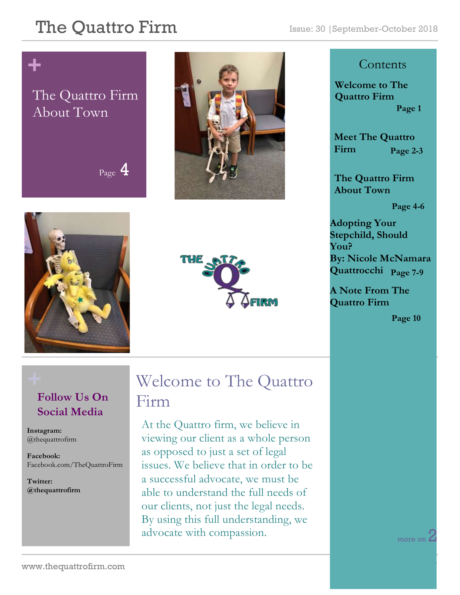## **+**

#### The Quattro Firm About Town

Page 4







#### **Contents**

**Welcome to The Quattro Firm Page 1**

**Meet The Quattro Firm Page 2-3**

**The Quattro Firm About Town**

**Page 4-6**

**Adopting Your Stepchild, Should You? By: Nicole McNamara Quattrocchi Page 7-9**

**A Note From The Quattro Firm** 

**Page 10**

#### **Follow Us On Social Media**

**Instagram:**  @thequattrofirm

**Facebook:** Facebook.com/TheQuattroFirm

**Twitter: @thequattrofirm**

### **+** Welcome to The Quattro Firm

At the Quattro firm, we believe in viewing our client as a whole person as opposed to just a set of legal issues. We believe that in order to be a successful advocate, we must be able to understand the full needs of our clients, not just the legal needs. By using this full understanding, we advocate with compassion.

more on  $\angle$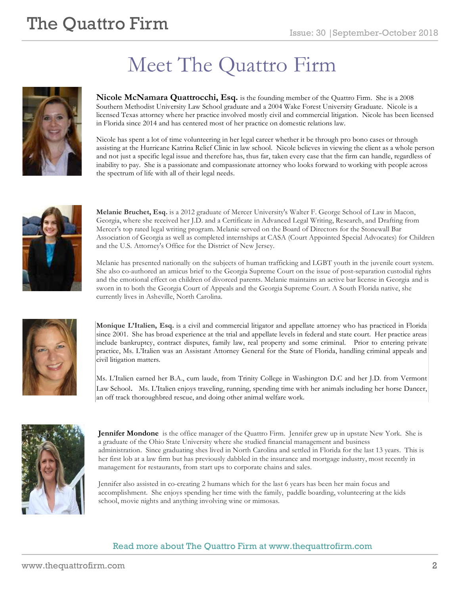# Meet The Quattro Firm



**Nicole McNamara Quattrocchi, Esq.** is the founding member of the Quattro Firm. She is a 2008 Southern Methodist University Law School graduate and a 2004 Wake Forest University Graduate. Nicole is a licensed Texas attorney where her practice involved mostly civil and commercial litigation. Nicole has been licensed in Florida since 2014 and has centered most of her practice on domestic relations law.

Nicole has spent a lot of time volunteering in her legal career whether it be through pro bono cases or through assisting at the Hurricane Katrina Relief Clinic in law school. Nicole believes in viewing the client as a whole person and not just a specific legal issue and therefore has, thus far, taken every case that the firm can handle, regardless of inability to pay. She is a passionate and compassionate attorney who looks forward to working with people across the spectrum of life with all of their legal needs.



**Melanie Bruchet, Esq.** is a 2012 graduate of Mercer University's Walter F. George School of Law in Macon, Georgia, where she received her J.D. and a Certificate in Advanced Legal Writing, Research, and Drafting from Mercer's top rated legal writing program. Melanie served on the Board of Directors for the Stonewall Bar Association of Georgia as well as completed internships at CASA (Court Appointed Special Advocates) for Children and the U.S. Attorney's Office for the District of New Jersey.

Melanie has presented nationally on the subjects of human trafficking and LGBT youth in the juvenile court system. She also co-authored an amicus brief to the Georgia Supreme Court on the issue of post-separation custodial rights and the emotional effect on children of divorced parents. Melanie maintains an active bar license in Georgia and is sworn in to both the Georgia Court of Appeals and the Georgia Supreme Court. A South Florida native, she currently lives in Asheville, North Carolina.



**Monique L'Italien, Esq.** is a civil and commercial litigator and appellate attorney who has practiced in Florida since 2001. She has broad experience at the trial and appellate levels in federal and state court. Her practice areas include bankruptcy, contract disputes, family law, real property and some criminal. Prior to entering private practice, Ms. L'Italien was an Assistant Attorney General for the State of Florida, handling criminal appeals and civil litigation matters.

Ms. L'Italien earned her B.A., cum laude, from Trinity College in Washington D.C and her J.D. from Vermont Law School. Ms. L'Italien enjoys traveling, running, spending time with her animals including her horse Dancer, an off track thoroughbred rescue, and doing other animal welfare work.



**Jennifer Mondone** is the office manager of the Quattro Firm. Jennifer grew up in upstate New York. She is a graduate of the Ohio State University where she studied financial management and business administration. Since graduating shes lived in North Carolina and settled in Florida for the last 13 years. This is her first lob at a law firm but has previously dabbled in the insurance and mortgage industry, most recently in management for restaurants, from start ups to corporate chains and sales.

Jennifer also assisted in co-creating 2 humans which for the last 6 years has been her main focus and accomplishment. She enjoys spending her time with the family, paddle boarding, volunteering at the kids school, movie nights and anything involving wine or mimosas.

#### Read more about The Quattro Firm at www.thequattrofirm.com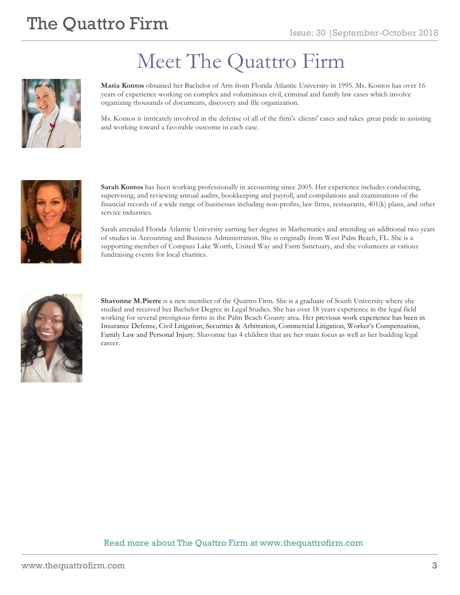

# Meet The Quattro Firm

**Maria Kontos** obtained her Bachelor of Arts from Florida Atlantic University in 1995. Ms. Kontos has over 16 years of experience working on complex and voluminous civil, criminal and family law cases which involve organizing thousands of documents, discovery and file organization.

Ms. Kontos is intricately involved in the defense of all of the firm's clients' cases and takes great pride in assisting and working toward a favorable outcome in each case.



**Sarah Kontos** has been working professionally in accounting since 2005. Her experience includes conducting, supervising, and reviewing annual audits, bookkeeping and payroll, and compilations and examinations of the financial records of a wide range of businesses including non-profits, law firms, restaurants, 401(k) plans, and other service industries.

Sarah attended Florida Atlantic University earning her degree in Mathematics and attending an additional two years of studies in Accounting and Business Administration. She is originally from West Palm Beach, FL. She is a supporting member of Compass Lake Worth, United Way and Farm Sanctuary, and she volunteers at various fundraising events for local charities.



**Shavonne M.Pierre** is a new member of the Quattro Firm. She is a graduate of South University where she studied and received her Bachelor Degree in Legal Studies. She has over 18 years experience in the legal field working for several prestigious firms in the Palm Beach County area. Her previous work experience has been in Insurance Defense, Civil Litigation, Securities & Arbitration, Commercial Litigation, Worker's Compensation, Family Law and Personal Injury. Shavonne has 4 children that are her main focus as well as her budding legal career.

#### Read more about The Quattro Firm at www.thequattrofirm.com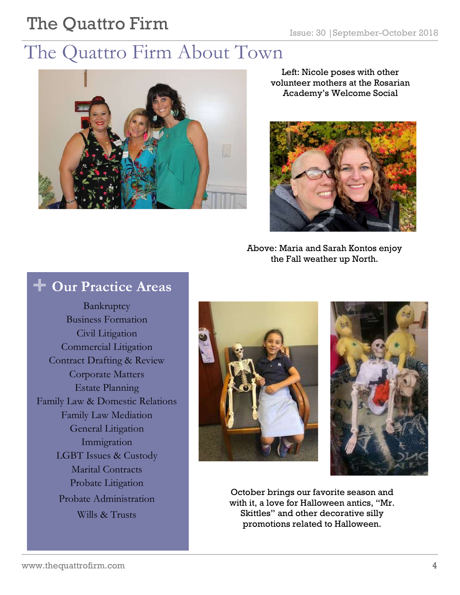### The Quattro Firm About Town



Left: Nicole poses with other volunteer mothers at the Rosarian Academy's Welcome Social



Above: Maria and Sarah Kontos enjoy the Fall weather up North.

#### **+ Our Practice Areas**

Bankruptcy Business Formation Civil Litigation Commercial Litigation Contract Drafting & Review Corporate Matters Estate Planning Family Law & Domestic Relations Family Law Mediation General Litigation Immigration LGBT Issues & Custody Marital Contracts Probate Litigation Probate Administration Wills & Trusts





October brings our favorite season and with it, a love for Halloween antics, "Mr. Skittles" and other decorative silly promotions related to Halloween.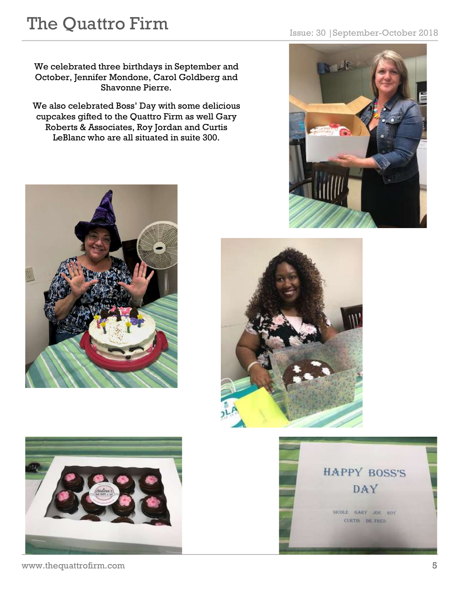We celebrated three birthdays in September and October, Jennifer Mondone, Carol Goldberg and Shavonne Pierre.

We also celebrated Boss' Day with some delicious cupcakes gifted to the Quattro Firm as well Gary Roberts & Associates, Roy Jordan and Curtis LeBlanc who are all situated in suite 300.











www.thequattrofirm.com 5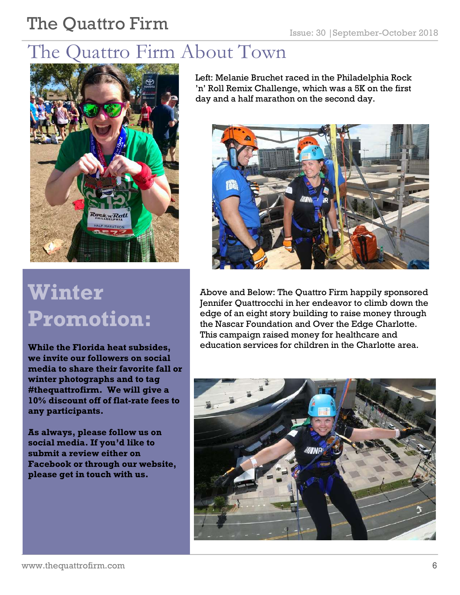## The Quattro Firm About Town



# **Winter Promotion:**

**While the Florida heat subsides, we invite our followers on social media to share their favorite fall or winter photographs and to tag #thequattrofirm. We will give a 10% discount off of flat-rate fees to any participants.**

**As always, please follow us on social media. If you'd like to submit a review either on Facebook or through our website, please get in touch with us.** 

Left: Melanie Bruchet raced in the Philadelphia Rock 'n' Roll Remix Challenge, which was a 5K on the first day and a half marathon on the second day.



Above and Below: The Quattro Firm happily sponsored Jennifer Quattrocchi in her endeavor to climb down the edge of an eight story building to raise money through the Nascar Foundation and Over the Edge Charlotte. This campaign raised money for healthcare and education services for children in the Charlotte area.

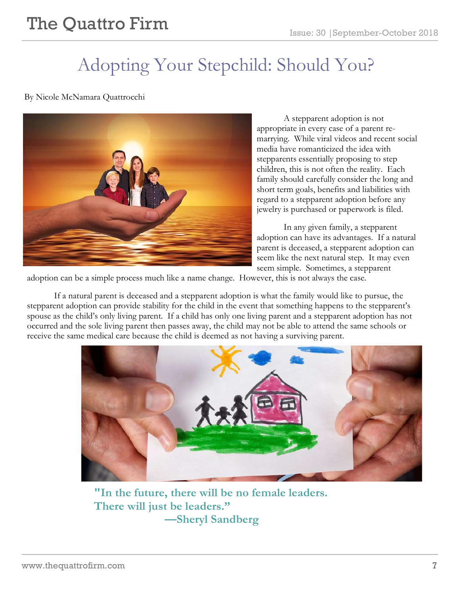## Adopting Your Stepchild: Should You?

By Nicole McNamara Quattrocchi



A stepparent adoption is not appropriate in every case of a parent remarrying. While viral videos and recent social media have romanticized the idea with stepparents essentially proposing to step children, this is not often the reality. Each family should carefully consider the long and short term goals, benefits and liabilities with regard to a stepparent adoption before any jewelry is purchased or paperwork is filed.

In any given family, a stepparent adoption can have its advantages. If a natural parent is deceased, a stepparent adoption can seem like the next natural step. It may even seem simple. Sometimes, a stepparent

adoption can be a simple process much like a name change. However, this is not always the case.

If a natural parent is deceased and a stepparent adoption is what the family would like to pursue, the stepparent adoption can provide stability for the child in the event that something happens to the stepparent's spouse as the child's only living parent. If a child has only one living parent and a stepparent adoption has not occurred and the sole living parent then passes away, the child may not be able to attend the same schools or receive the same medical care because the child is deemed as not having a surviving parent.



**"In the future, there will be no female leaders. There will just be leaders." —Sheryl Sandberg**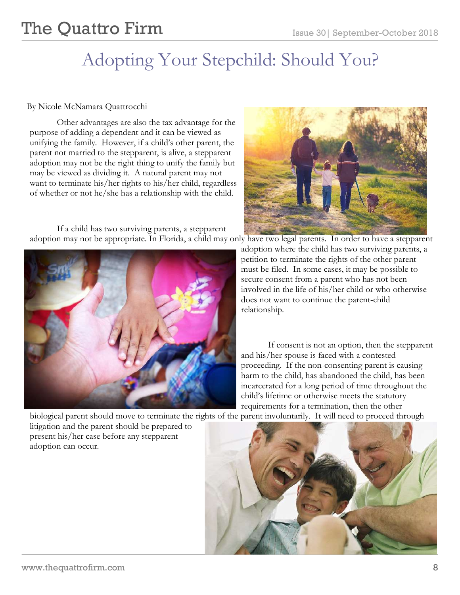## Adopting Your Stepchild: Should You?

#### By Nicole McNamara Quattrocchi

Other advantages are also the tax advantage for the purpose of adding a dependent and it can be viewed as unifying the family. However, if a child's other parent, the parent not married to the stepparent, is alive, a stepparent adoption may not be the right thing to unify the family but may be viewed as dividing it. A natural parent may not want to terminate his/her rights to his/her child, regardless of whether or not he/she has a relationship with the child.

If a child has two surviving parents, a stepparent adoption may not be appropriate. In Florida, a child may only have two legal parents. In order to have a stepparent





adoption where the child has two surviving parents, a petition to terminate the rights of the other parent must be filed. In some cases, it may be possible to secure consent from a parent who has not been involved in the life of his/her child or who otherwise does not want to continue the parent-child relationship.

If consent is not an option, then the stepparent and his/her spouse is faced with a contested proceeding. If the non-consenting parent is causing harm to the child, has abandoned the child, has been incarcerated for a long period of time throughout the child's lifetime or otherwise meets the statutory requirements for a termination, then the other

biological parent should move to terminate the rights of the parent involuntarily. It will need to proceed through

litigation and the parent should be prepared to present his/her case before any stepparent adoption can occur.

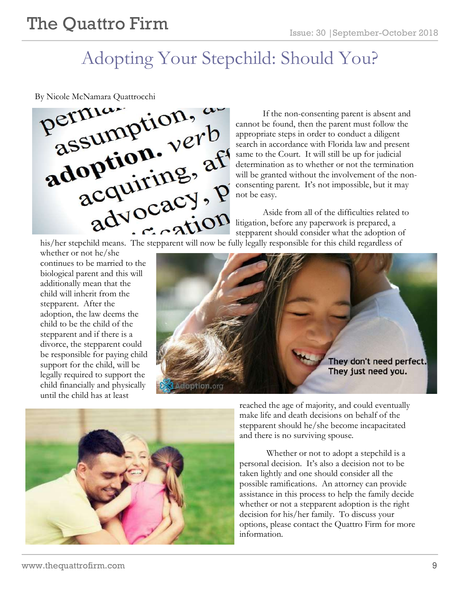### Adopting Your Stepchild: Should You?



If the non-consenting parent is absent and cannot be found, then the parent must follow the appropriate steps in order to conduct a diligent search in accordance with Florida law and present same to the Court. It will still be up for judicial determination as to whether or not the termination will be granted without the involvement of the nonconsenting parent. It's not impossible, but it may not be easy.

Aside from all of the difficulties related to litigation, before any paperwork is prepared, a stepparent should consider what the adoption of and the difficulties related this/her stepchild means. The stepparent will now be fully legally responsible for this child regardless of

whether or not he/she continues to be married to the biological parent and this will additionally mean that the child will inherit from the stepparent. After the adoption, the law deems the child to be the child of the stepparent and if there is a divorce, the stepparent could be responsible for paying child support for the child, will be legally required to support the child financially and physically until the child has at least





reached the age of majority, and could eventually make life and death decisions on behalf of the stepparent should he/she become incapacitated and there is no surviving spouse.

Whether or not to adopt a stepchild is a personal decision. It's also a decision not to be taken lightly and one should consider all the possible ramifications. An attorney can provide assistance in this process to help the family decide whether or not a stepparent adoption is the right decision for his/her family. To discuss your options, please contact the Quattro Firm for more information.